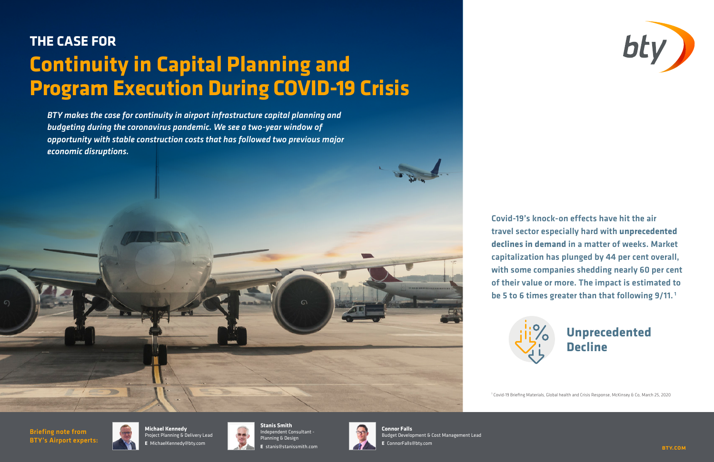

### Covid-19's knock-on effects have hit the air travel sector especially hard with **unprecedented declines in demand** in a matter of weeks. Market capitalization has plunged by 44 per cent overall, with some companies shedding nearly 60 per cent of their value or more. The impact is estimated to be 5 to 6 times greater than that following 9/11.<sup>1</sup>

1 Covid-19 Briefing Materials, Global health and Crisis Response, McKinsey & Co, March 25, 2020

## **THE CASE FOR Continuity in Capital Planning and Program Execution During COVID-19 Crisis**

*BTY makes the case for continuity in airport infrastructure capital planning and budgeting during the coronavirus pandemic. We see a two-year window of opportunity with stable construction costs that has followed two previous major economic disruptions.*

# **Unprecedented**



Briefing note from BTY's Airport experts:



**Michael Kennedy** Project Planning & Delivery Lead **E** MichaelKennedy@bty.com



**Stanis Smith** Independent Consultant - Planning & Design **E** stanis@stanissmith.com



**Connor Falls** Budget Development & Cost Management Lead **E** ConnorFalls@bty.com

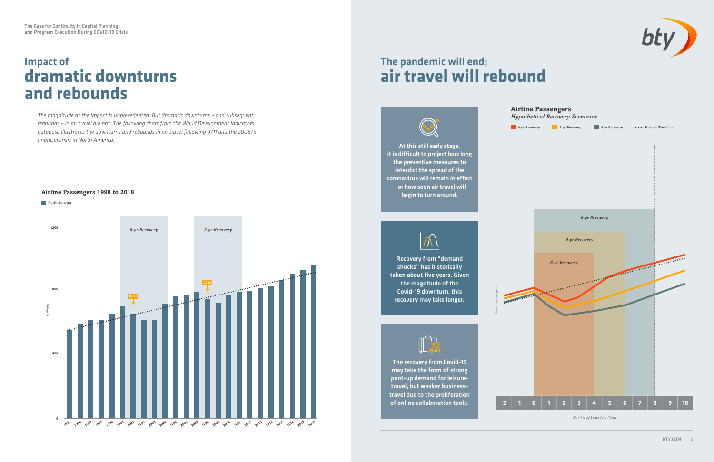### Impact of **dramatic downturns and rebounds**

### The pandemic will end; **air travel will rebound**



*The magnitude of the impact is unprecedented. But dramatic downturns – and subsequent rebounds – in air travel are not. The following chart from the World Development Indicators database illustrates the downturns and rebounds in air travel following 9/11 and the 2008/9 financial crisis in North America.* 

> The recovery from Covid-19 may take the form of strong pent-up demand for leisuretravel, but weaker businesstravel due to the proliferation of online collaboration tools.





#### **Airline Passengers 1998 to 2018**



### **Airline Passengers**

*Hypothetical Recovery Scenarios*

*Airline Passengers*



*Number of Years Post Crisis*

At this still early stage, it is difficult to project how long the preventive measures to interdict the spread of the coronavirus will remain in effect – or how soon air travel will begin to turn around.



Recovery from "demand shocks" has historically taken about five years. Given the magnitude of the Covid-19 downturn, this recovery may take longer.

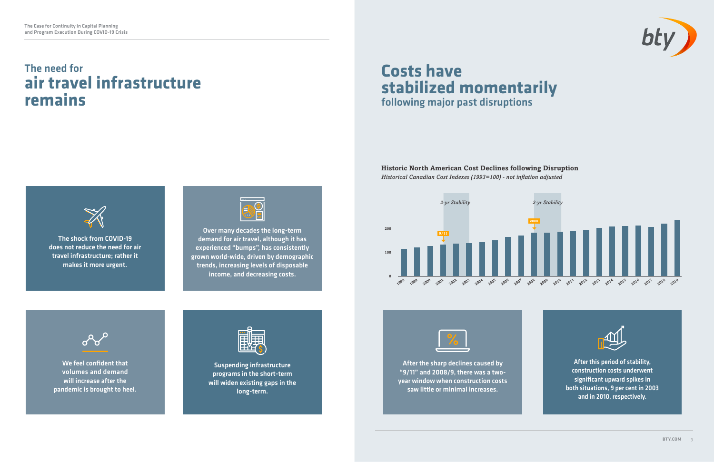### **Historic North American Cost Declines following Disruption** *Historical Canadian Cost Indexes (1993=100) - not inflation adjusted*



### The need for **air travel infrastructure remains**

### **Costs have stabilized momentarily** following major past disruptions



The shock from COVID-19 does not reduce the need for air travel infrastructure; rather it makes it more urgent.



We feel confident that volumes and demand will increase after the pandemic is brought to heel.



After the sharp declines caused by "9/11" and 2008/9, there was a twoyear window when construction costs saw little or minimal increases.









Suspending infrastructure programs in the short-term will widen existing gaps in the long-term.



Over many decades the long-term demand for air travel, although it has experienced "bumps", has consistently grown world-wide, driven by demographic trends, increasing levels of disposable income, and decreasing costs.

After this period of stability, construction costs underwent significant upward spikes in both situations, 9 per cent in 2003 and in 2010, respectively.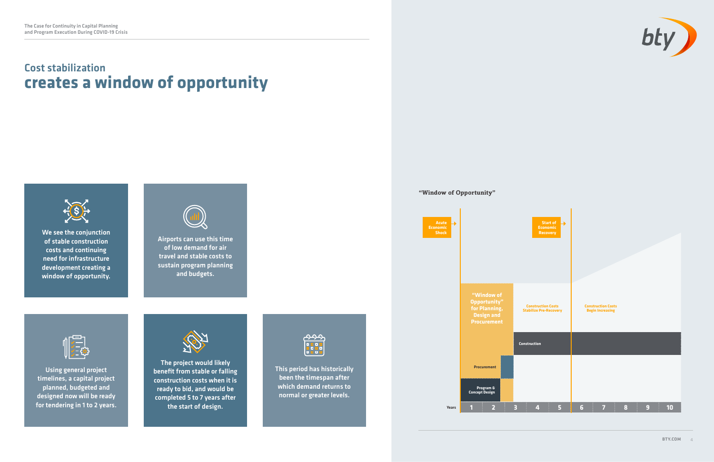### Cost stabilization **creates a window of opportunity**



**We see the conjunction** of stable construction costs and continuing need for infrastructure development creating a window of opportunity.







**Years**



Using general project timelines, a capital project planned, budgeted and designed now will be ready for tendering in 1 to 2 years.



Airports can use this time of low demand for air travel and stable costs to sustain program planning and budgets.



The project would likely benefit from stable or falling construction costs when it is ready to bid, and would be completed 5 to 7 years after the start of design.



This period has historically been the timespan after which demand returns to normal or greater levels.

#### **"Window of Opportunity"**